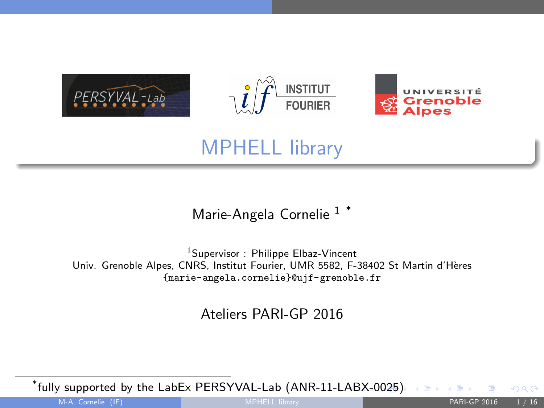

# MPHELL library

Marie-Angela Cornelie<sup>1</sub>\*</sup>

<sup>1</sup>Supervisor : Philippe Elbaz-Vincent Univ. Grenoble Alpes, CNRS, Institut Fourier, UMR 5582, F-38402 St Martin d'H`eres {marie-angela.cornelie}@ujf-grenoble.fr

Ateliers PARI-GP 2016

\* fully supported by the LabEx PERSYVAL-Lab (ANR-11-L[AB](#page-0-0)[X-0](#page-1-0)[025\)](#page-0-0)

<span id="page-0-0"></span> $\Omega$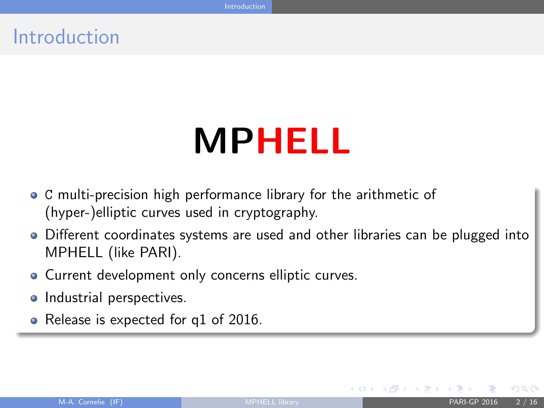### Introduction

# MPHELL

- C multi-precision high performance library for the arithmetic of (hyper-)elliptic curves used in cryptography.
- Different coordinates systems are used and other libraries can be plugged into MPHELL (like PARI).
- Current development only concerns elliptic curves.
- Industrial perspectives.
- Release is expected for q1 of 2016.

<span id="page-1-0"></span>メロメ メ押 メスミメスミン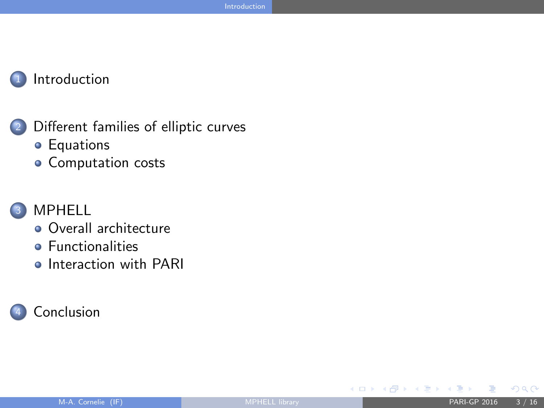#### **[Introduction](#page-1-0)**

- <sup>2</sup> [Different families of elliptic curves](#page-3-0)
	- **•** [Equations](#page-3-0)
	- [Computation costs](#page-4-0)

#### **[MPHELL](#page-5-0)**

- [Overall architecture](#page-5-0)
- **•** [Functionalities](#page-6-0)
- **o** [Interaction with PARI](#page-8-0)

#### **[Conclusion](#page-14-0)**

<span id="page-2-0"></span> $\Omega$ 

メロメ メ都 メメ ヨメ メヨメ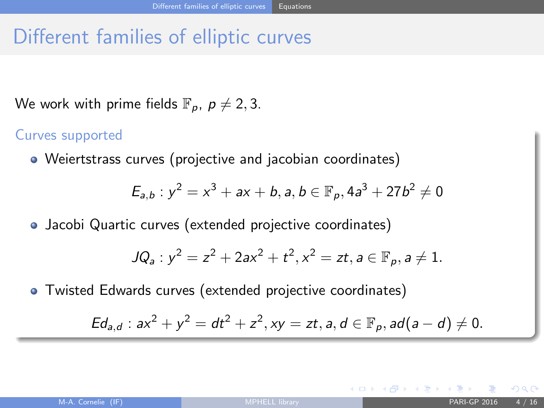# Different families of elliptic curves

We work with prime fields  $\mathbb{F}_p$ ,  $p \neq 2, 3$ .

#### Curves supported

Weiertstrass curves (projective and jacobian coordinates)

$$
E_{a,b}: y^2 = x^3 + ax + b, a, b \in \mathbb{F}_p, 4a^3 + 27b^2 \neq 0
$$

Jacobi Quartic curves (extended projective coordinates)

$$
JQ_a: y^2 = z^2 + 2ax^2 + t^2, x^2 = zt, a \in \mathbb{F}_p, a \neq 1.
$$

Twisted Edwards curves (extended projective coordinates)

$$
Ed_{a,d}: ax^2 + y^2 = dt^2 + z^2, xy = zt, a, d \in \mathbb{F}_p, ad(a-d) \neq 0.
$$

<span id="page-3-0"></span>メロメ メ都 メメ ヨメ メヨメ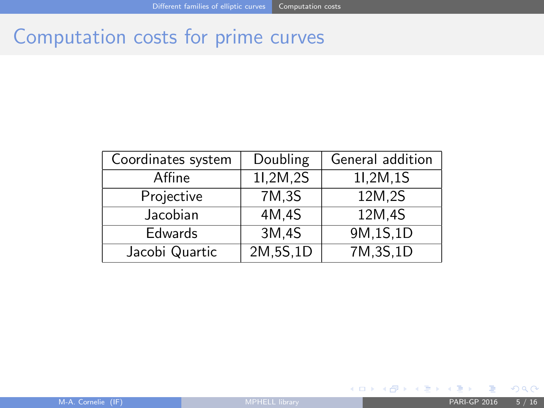# Computation costs for prime curves

| Coordinates system | Doubling | General addition |
|--------------------|----------|------------------|
| Affine             | 11,2M,2S | 11,2M,1S         |
| Projective         | 7M, 3S   | 12M,2S           |
| Jacobian           | 4M,4S    | 12M.4S           |
| <b>Edwards</b>     | 3M,4S    | 9M, 1S, 1D       |
| Jacobi Quartic     | 2M,5S,1D | 7M, 3S, 1D       |

<span id="page-4-0"></span> $QQ$ 

メロト メタト メミト メミト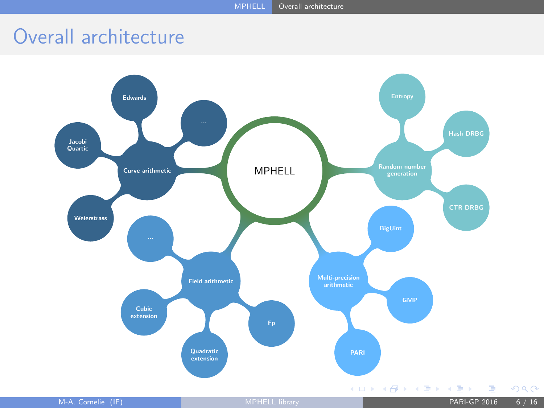# Overall architecture

<span id="page-5-0"></span>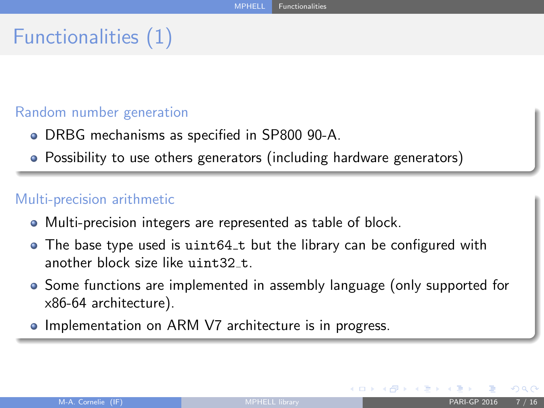# Functionalities (1)

#### Random number generation

- DRBG mechanisms as specified in SP800 90-A.
- Possibility to use others generators (including hardware generators)

#### Multi-precision arithmetic

- Multi-precision integers are represented as table of block.
- The base type used is uint64\_t but the library can be configured with another block size like uint32 t.
- Some functions are implemented in assembly language (only supported for x86-64 architecture).
- Implementation on ARM V7 architecture is in progress.

<span id="page-6-0"></span>メロト メタト メミト メミト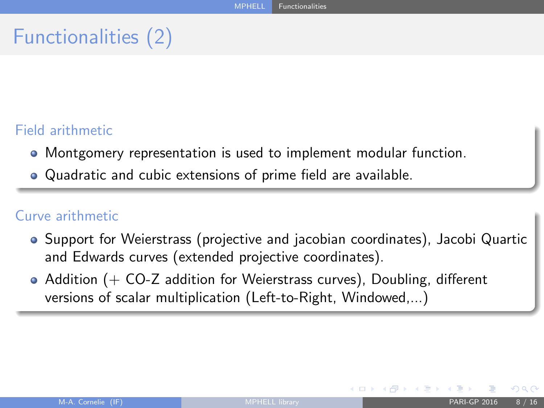# Functionalities (2)

#### Field arithmetic

- Montgomery representation is used to implement modular function.
- Quadratic and cubic extensions of prime field are available.

#### Curve arithmetic

- Support for Weierstrass (projective and jacobian coordinates), Jacobi Quartic and Edwards curves (extended projective coordinates).
- $\bullet$  Addition (+ CO-Z addition for Weierstrass curves), Doubling, different versions of scalar multiplication (Left-to-Right, Windowed,...)

<span id="page-7-0"></span>メロメ メ都 メメ ヨメ メヨメ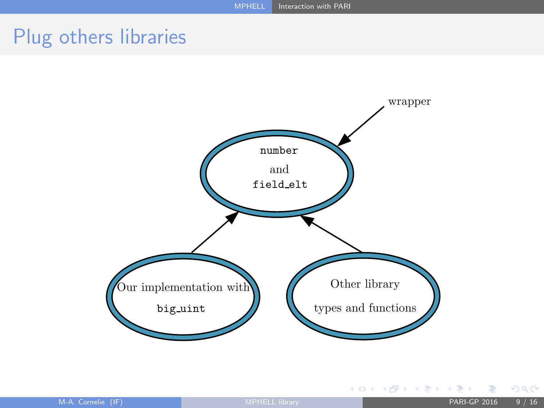### Plug others libraries



<span id="page-8-0"></span> $290$ 

**K ロ ト K 部 ト K 差 ト K 差 ト**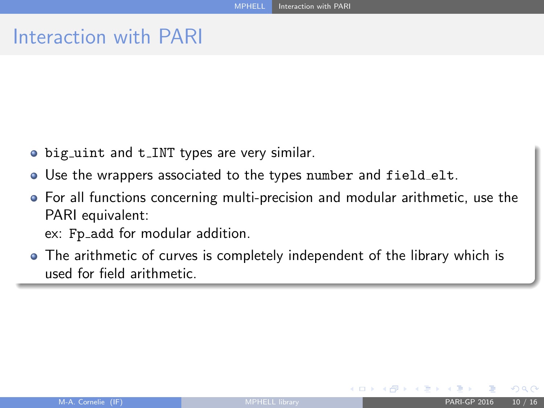### Interaction with PARI

- big\_uint and t\_INT types are very similar.
- Use the wrappers associated to the types number and field elt.
- For all functions concerning multi-precision and modular arithmetic, use the PARI equivalent:
	- ex: Fp\_add for modular addition.
- The arithmetic of curves is completely independent of the library which is used for field arithmetic.

<span id="page-9-0"></span> $\left\{ \begin{array}{ccc} \square & \rightarrow & \left\{ \bigcap \mathbb{R} \right\} & \left\{ \begin{array}{ccc} \square & \rightarrow & \left\{ \end{array} \right\} & \left\{ \begin{array}{ccc} \square & \rightarrow & \left\{ \end{array} \right\} & \left\{ \begin{array}{ccc} \square & \rightarrow & \left\{ \end{array} \right\} & \left\{ \begin{array}{ccc} \square & \rightarrow & \left\{ \end{array} \right\} & \left\{ \begin{array}{ccc} \square & \rightarrow & \left\{ \end{array} \right\} & \left\{ \begin{array}{ccc} \square & \rightarrow & \left\{ \end{array} \right\}$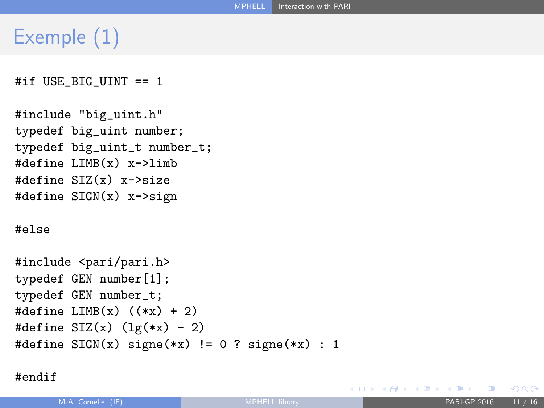# Exemple (1)

```
#if USE BIG UINT == 1
```

```
#include "big_uint.h"
typedef big_uint number;
typedef big_uint_t number_t;
#define LIMB(x) x->limb
#define SIZ(x) x->size
#define SIGN(x) x->sign
```
#### #else

```
#include <pari/pari.h>
typedef GEN number[1];
typedef GEN number_t;
#define LIMB(x) ((*x) + 2)#define \text{SIZ}(x) (\text{lg}(*x) - 2)
#define SIGN(x) signe(*x) != 0 ? signe(*x) : 1
```
#endif

<span id="page-10-0"></span> $QQ$ 

K ロ ▶ K 御 ▶ K 君 ▶ K 君 ▶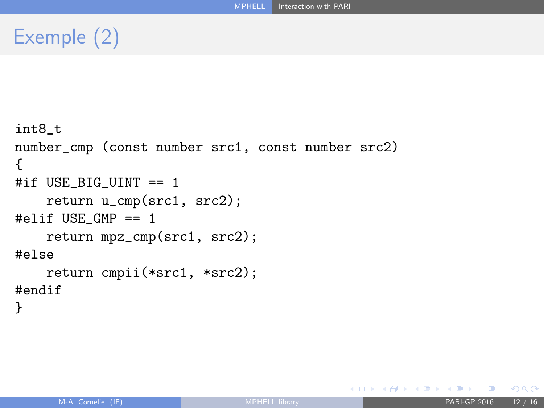# Exemple (2)

```
int8_t
number_cmp (const number src1, const number src2)
{
#if USE_BIG_UINT == 1
    return u_cmp(src1, src2);
#elif USE_GMP == 1
    return mpz_cmp(src1, src2);
#else
    return cmpii(*src1, *src2);
#endif
}
```
K ロ ⊁ K 倒 ≯ K 君 ⊁ K 君 ≯

<span id="page-11-0"></span> $QQ$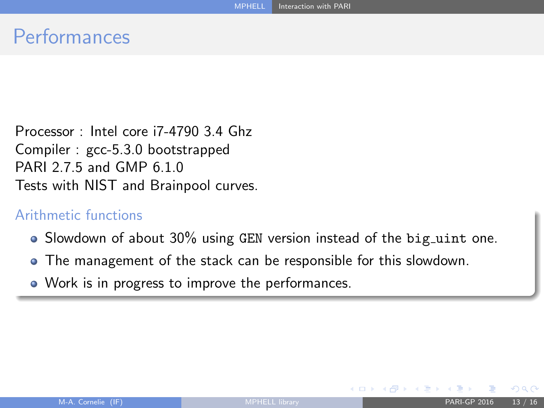### **Performances**

Processor : Intel core i7-4790 3.4 Ghz Compiler : gcc-5.3.0 bootstrapped PARI 2.7.5 and GMP 6.1.0 Tests with NIST and Brainpool curves.

#### Arithmetic functions

- Slowdown of about 30% using GEN version instead of the big\_uint one.
- The management of the stack can be responsible for this slowdown.
- Work is in progress to improve the performances.

<span id="page-12-0"></span> $\Omega$ 

メロメ メ押 メスミメスミン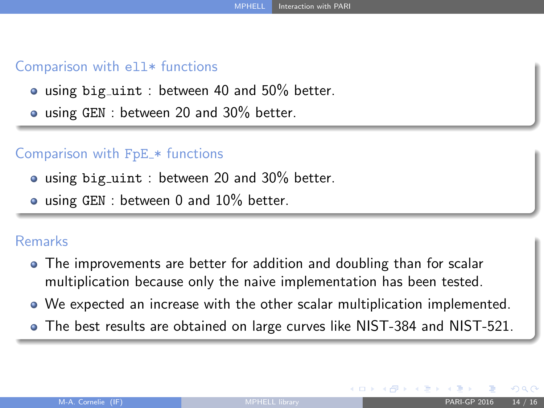#### Comparison with ell\* functions

- using big\_uint : between 40 and 50% better.
- **•** using GEN : between 20 and 30% better.

#### Comparison with FpE \* functions

- using big\_uint : between 20 and 30% better.
- **.** using GEN : between 0 and 10% better.

#### Remarks

- The improvements are better for addition and doubling than for scalar multiplication because only the naive implementation has been tested.
- We expected an increase with the other scalar multiplication implemented.
- The best results are obtained on large curves like NIST-384 and NIST-521.

<span id="page-13-0"></span> $\Omega$ 

メロト メタト メミト メミト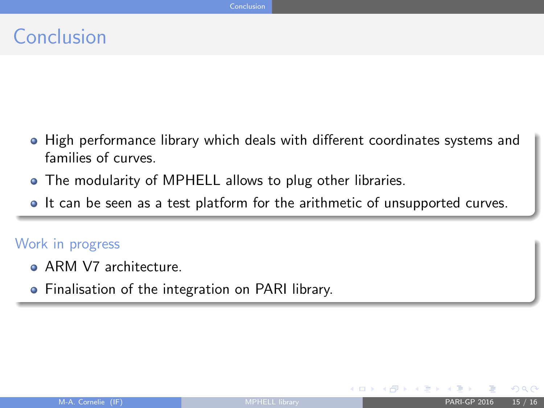### Conclusion

- **High performance library which deals with different coordinates systems and** families of curves.
- The modularity of MPHELL allows to plug other libraries.
- It can be seen as a test platform for the arithmetic of unsupported curves.

#### Work in progress

- ARM V7 architecture.
- **•** Finalisation of the integration on PARI library.

<span id="page-14-0"></span> $\Omega$ 

イロメ イ押メ イヨメ イヨ